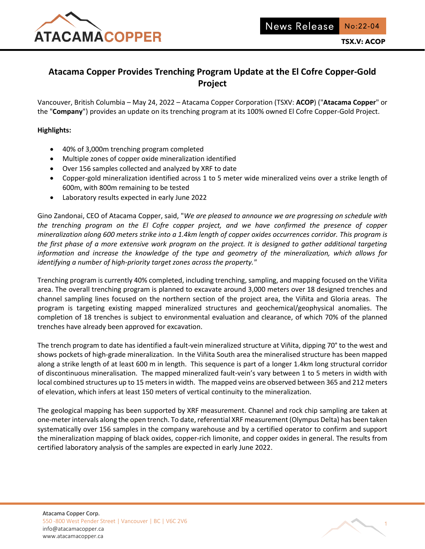

# **Atacama Copper Provides Trenching Program Update at the El Cofre Copper-Gold Project**

Vancouver, British Columbia – May 24, 2022 – Atacama Copper Corporation (TSXV: **ACOP**) ("**Atacama Copper**" or the "**Company**") provides an update on its trenching program at its 100% owned El Cofre Copper-Gold Project.

## **Highlights:**

- 40% of 3,000m trenching program completed
- Multiple zones of copper oxide mineralization identified
- Over 156 samples collected and analyzed by XRF to date
- Copper-gold mineralization identified across 1 to 5 meter wide mineralized veins over a strike length of 600m, with 800m remaining to be tested
- Laboratory results expected in early June 2022

Gino Zandonai, CEO of Atacama Copper, said, "*We are pleased to announce we are progressing on schedule with the trenching program on the El Cofre copper project, and we have confirmed the presence of copper mineralization along 600 meters strike into a 1.4km length of copper oxides occurrences corridor. This program is the first phase of a more extensive work program on the project. It is designed to gather additional targeting information and increase the knowledge of the type and geometry of the mineralization, which allows for identifying a number of high-priority target zones across the property."*

Trenching program is currently 40% completed, including trenching, sampling, and mapping focused on the Viñita area. The overall trenching program is planned to excavate around 3,000 meters over 18 designed trenches and channel sampling lines focused on the northern section of the project area, the Viñita and Gloria areas. The program is targeting existing mapped mineralized structures and geochemical/geophysical anomalies. The completion of 18 trenches is subject to environmental evaluation and clearance, of which 70% of the planned trenches have already been approved for excavation.

The trench program to date has identified a fault-vein mineralized structure at Viñita, dipping 70° to the west and shows pockets of high-grade mineralization. In the Viñita South area the mineralised structure has been mapped along a strike length of at least 600 m in length. This sequence is part of a longer 1.4km long structural corridor of discontinuous mineralisation. The mapped mineralized fault-vein's vary between 1 to 5 meters in width with local combined structures up to 15 meters in width. The mapped veins are observed between 365 and 212 meters of elevation, which infers at least 150 meters of vertical continuity to the mineralization.

The geological mapping has been supported by XRF measurement. Channel and rock chip sampling are taken at one-meter intervals along the open trench. To date, referential XRF measurement (Olympus Delta) has been taken systematically over 156 samples in the company warehouse and by a certified operator to confirm and support the mineralization mapping of black oxides, copper-rich limonite, and copper oxides in general. The results from certified laboratory analysis of the samples are expected in early June 2022.

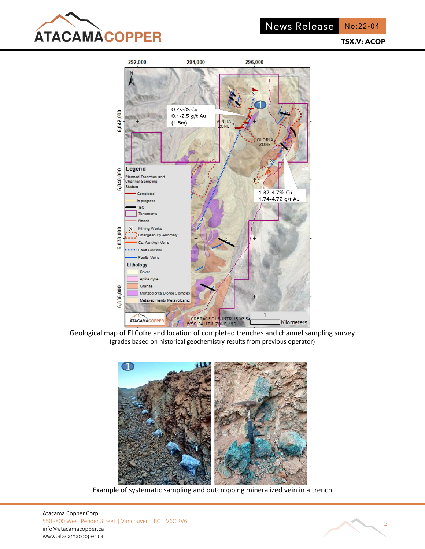

No:22-04

**TSX.V: ACOP**



Geological map of El Cofre and location of completed trenches and channel sampling survey (grades based on historical geochemistry results from previous operator)



Example of systematic sampling and outcropping mineralized vein in a trench

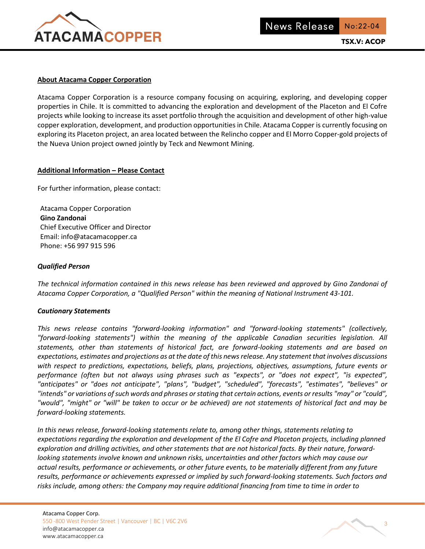

#### **About Atacama Copper Corporation**

Atacama Copper Corporation is a resource company focusing on acquiring, exploring, and developing copper properties in Chile. It is committed to advancing the exploration and development of the Placeton and El Cofre projects while looking to increase its asset portfolio through the acquisition and development of other high-value copper exploration, development, and production opportunities in Chile. Atacama Copper is currently focusing on exploring its Placeton project, an area located between the Relincho copper and El Morro Copper-gold projects of the Nueva Union project owned jointly by Teck and Newmont Mining.

### **Additional Information – Please Contact**

For further information, please contact:

Atacama Copper Corporation **Gino Zandonai** Chief Executive Officer and Director Email: info@atacamacopper.ca Phone: +56 997 915 596

## *Qualified Person*

*The technical information contained in this news release has been reviewed and approved by Gino Zandonai of Atacama Copper Corporation, a "Qualified Person" within the meaning of National Instrument 43-101.*

#### *Cautionary Statements*

*This news release contains "forward-looking information" and "forward-looking statements" (collectively, "forward-looking statements") within the meaning of the applicable Canadian securities legislation. All statements, other than statements of historical fact, are forward-looking statements and are based on expectations, estimates and projections as at the date of this news release. Any statement that involves discussions with respect to predictions, expectations, beliefs, plans, projections, objectives, assumptions, future events or performance (often but not always using phrases such as "expects", or "does not expect", "is expected", "anticipates" or "does not anticipate", "plans", "budget", "scheduled", "forecasts", "estimates", "believes" or "intends" or variations of such words and phrases or stating that certain actions, events or results "may" or "could", "would", "might" or "will" be taken to occur or be achieved) are not statements of historical fact and may be forward-looking statements.* 

*In this news release, forward-looking statements relate to, among other things, statements relating to expectations regarding the exploration and development of the El Cofre and Placeton projects, including planned exploration and drilling activities, and other statements that are not historical facts. By their nature, forwardlooking statements involve known and unknown risks, uncertainties and other factors which may cause our actual results, performance or achievements, or other future events, to be materially different from any future results, performance or achievements expressed or implied by such forward-looking statements. Such factors and risks include, among others: the Company may require additional financing from time to time in order to*